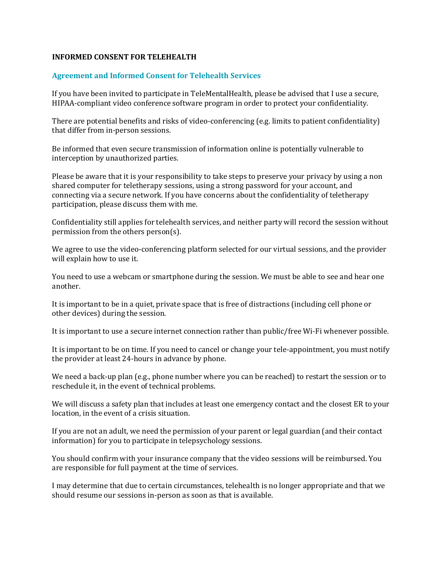## **INFORMED CONSENT FOR TELEHEALTH**

## **Agreement and Informed Consent for Telehealth Services**

If you have been invited to participate in TeleMentalHealth, please be advised that I use a secure, HIPAA-compliant video conference software program in order to protect your confidentiality.

There are potential benefits and risks of video-conferencing (e.g. limits to patient confidentiality) that differ from in-person sessions.

Be informed that even secure transmission of information online is potentially vulnerable to interception by unauthorized parties.

Please be aware that it is your responsibility to take steps to preserve your privacy by using a non shared computer for teletherapy sessions, using a strong password for your account, and connecting via a secure network. If you have concerns about the confidentiality of teletherapy participation, please discuss them with me.

Confidentiality still applies for telehealth services, and neither party will record the session without permission from the others person(s).

We agree to use the video-conferencing platform selected for our virtual sessions, and the provider will explain how to use it.

You need to use a webcam or smartphone during the session. We must be able to see and hear one another.

It is important to be in a quiet, private space that is free of distractions (including cell phone or other devices) during the session.

It is important to use a secure internet connection rather than public/free Wi-Fi whenever possible.

It is important to be on time. If you need to cancel or change your tele-appointment, you must notify the provider at least 24-hours in advance by phone.

We need a back-up plan (e.g., phone number where you can be reached) to restart the session or to reschedule it, in the event of technical problems.

We will discuss a safety plan that includes at least one emergency contact and the closest ER to your location, in the event of a crisis situation.

If you are not an adult, we need the permission of your parent or legal guardian (and their contact information) for you to participate in telepsychology sessions.

You should confirm with your insurance company that the video sessions will be reimbursed. You are responsible for full payment at the time of services.

I may determine that due to certain circumstances, telehealth is no longer appropriate and that we should resume our sessions in-person as soon as that is available.